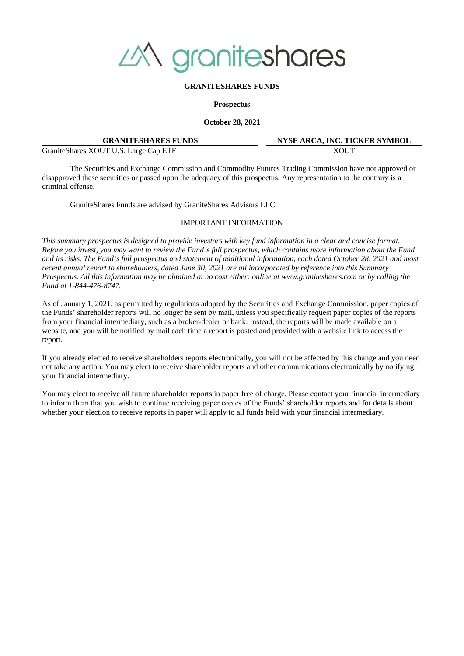

#### **GRANITESHARES FUNDS**

**Prospectus**

**October 28, 2021**

| <b>GRANITESHARES FUNDS</b>             | NYSE. |
|----------------------------------------|-------|
| Granite Shares XOUT U.S. Large Cap ETF |       |

**ARCA, INC. TICKER SYMBOL** 

The Securities and Exchange Commission and Commodity Futures Trading Commission have not approved or disapproved these securities or passed upon the adequacy of this prospectus. Any representation to the contrary is a criminal offense.

GraniteShares Funds are advised by GraniteShares Advisors LLC.

#### IMPORTANT INFORMATION

*This summary prospectus is designed to provide investors with key fund information in a clear and concise format. Before you invest, you may want to review the Fund's full prospectus, which contains more information about the Fund and its risks. The Fund's full prospectus and statement of additional information, each dated October 28, 2021 and most recent annual report to shareholders, dated June 30, 2021 are all incorporated by reference into this Summary Prospectus. All this information may be obtained at no cost either: online at www.graniteshares.com or by calling the Fund at 1-844-476-8747.*

As of January 1, 2021, as permitted by regulations adopted by the Securities and Exchange Commission, paper copies of the Funds' shareholder reports will no longer be sent by mail, unless you specifically request paper copies of the reports from your financial intermediary, such as a broker-dealer or bank. Instead, the reports will be made available on a website, and you will be notified by mail each time a report is posted and provided with a website link to access the report.

If you already elected to receive shareholders reports electronically, you will not be affected by this change and you need not take any action. You may elect to receive shareholder reports and other communications electronically by notifying your financial intermediary.

You may elect to receive all future shareholder reports in paper free of charge. Please contact your financial intermediary to inform them that you wish to continue receiving paper copies of the Funds' shareholder reports and for details about whether your election to receive reports in paper will apply to all funds held with your financial intermediary.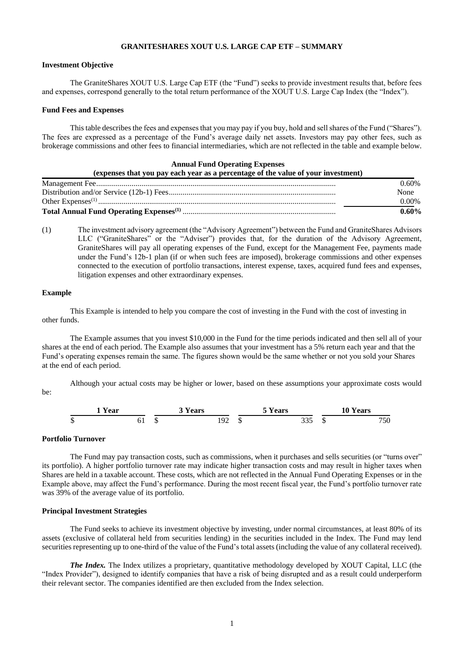# **GRANITESHARES XOUT U.S. LARGE CAP ETF – SUMMARY**

## **Investment Objective**

The GraniteShares XOUT U.S. Large Cap ETF (the "Fund") seeks to provide investment results that, before fees and expenses, correspond generally to the total return performance of the XOUT U.S. Large Cap Index (the "Index").

#### **Fund Fees and Expenses**

This table describes the fees and expenses that you may pay if you buy, hold and sell shares of the Fund ("Shares"). The fees are expressed as a percentage of the Fund's average daily net assets. Investors may pay other fees, such as brokerage commissions and other fees to financial intermediaries, which are not reflected in the table and example below.

#### **Annual Fund Operating Expenses (expenses that you pay each year as a percentage of the value of your investment)**

| (expenses that you pay each year as a percentage of the value of your investment) |          |
|-----------------------------------------------------------------------------------|----------|
|                                                                                   | $0.60\%$ |
|                                                                                   | None     |
|                                                                                   | $0.00\%$ |
|                                                                                   | $0.60\%$ |

(1) The investment advisory agreement (the "Advisory Agreement") between the Fund and GraniteShares Advisors LLC ("GraniteShares" or the "Adviser") provides that, for the duration of the Advisory Agreement, GraniteShares will pay all operating expenses of the Fund, except for the Management Fee, payments made under the Fund's 12b-1 plan (if or when such fees are imposed), brokerage commissions and other expenses connected to the execution of portfolio transactions, interest expense, taxes, acquired fund fees and expenses, litigation expenses and other extraordinary expenses.

## **Example**

This Example is intended to help you compare the cost of investing in the Fund with the cost of investing in other funds.

The Example assumes that you invest \$10,000 in the Fund for the time periods indicated and then sell all of your shares at the end of each period. The Example also assumes that your investment has a 5% return each year and that the Fund's operating expenses remain the same. The figures shown would be the same whether or not you sold your Shares at the end of each period.

Although your actual costs may be higher or lower, based on these assumptions your approximate costs would be:



## **Portfolio Turnover**

The Fund may pay transaction costs, such as commissions, when it purchases and sells securities (or "turns over" its portfolio). A higher portfolio turnover rate may indicate higher transaction costs and may result in higher taxes when Shares are held in a taxable account. These costs, which are not reflected in the Annual Fund Operating Expenses or in the Example above, may affect the Fund's performance. During the most recent fiscal year, the Fund's portfolio turnover rate was 39% of the average value of its portfolio.

#### **Principal Investment Strategies**

The Fund seeks to achieve its investment objective by investing, under normal circumstances, at least 80% of its assets (exclusive of collateral held from securities lending) in the securities included in the Index. The Fund may lend securities representing up to one-third of the value of the Fund's total assets (including the value of any collateral received).

*The Index.* The Index utilizes a proprietary, quantitative methodology developed by XOUT Capital, LLC (the "Index Provider"), designed to identify companies that have a risk of being disrupted and as a result could underperform their relevant sector. The companies identified are then excluded from the Index selection.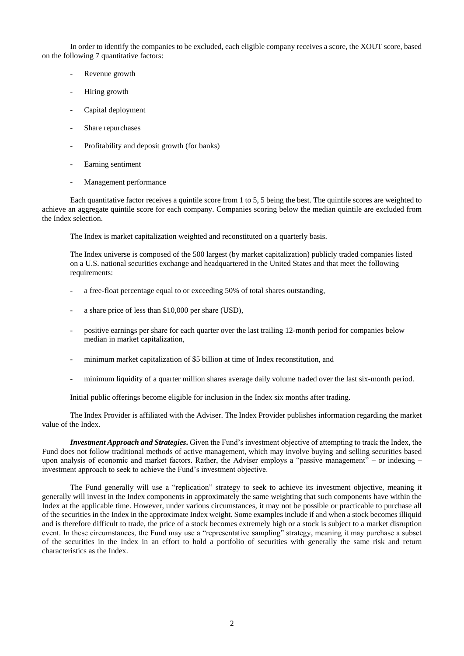In order to identify the companies to be excluded, each eligible company receives a score, the XOUT score, based on the following 7 quantitative factors:

- Revenue growth
- Hiring growth
- Capital deployment
- Share repurchases
- Profitability and deposit growth (for banks)
- Earning sentiment
- Management performance

Each quantitative factor receives a quintile score from 1 to 5, 5 being the best. The quintile scores are weighted to achieve an aggregate quintile score for each company. Companies scoring below the median quintile are excluded from the Index selection.

The Index is market capitalization weighted and reconstituted on a quarterly basis.

The Index universe is composed of the 500 largest (by market capitalization) publicly traded companies listed on a U.S. national securities exchange and headquartered in the United States and that meet the following requirements:

- a free-float percentage equal to or exceeding 50% of total shares outstanding,
- a share price of less than \$10,000 per share (USD),
- positive earnings per share for each quarter over the last trailing 12-month period for companies below median in market capitalization,
- minimum market capitalization of \$5 billion at time of Index reconstitution, and
- minimum liquidity of a quarter million shares average daily volume traded over the last six-month period.

Initial public offerings become eligible for inclusion in the Index six months after trading.

The Index Provider is affiliated with the Adviser. The Index Provider publishes information regarding the market value of the Index.

*Investment Approach and Strategies***.** Given the Fund's investment objective of attempting to track the Index, the Fund does not follow traditional methods of active management, which may involve buying and selling securities based upon analysis of economic and market factors. Rather, the Adviser employs a "passive management" – or indexing – investment approach to seek to achieve the Fund's investment objective.

The Fund generally will use a "replication" strategy to seek to achieve its investment objective, meaning it generally will invest in the Index components in approximately the same weighting that such components have within the Index at the applicable time. However, under various circumstances, it may not be possible or practicable to purchase all of the securities in the Index in the approximate Index weight. Some examples include if and when a stock becomes illiquid and is therefore difficult to trade, the price of a stock becomes extremely high or a stock is subject to a market disruption event. In these circumstances, the Fund may use a "representative sampling" strategy, meaning it may purchase a subset of the securities in the Index in an effort to hold a portfolio of securities with generally the same risk and return characteristics as the Index.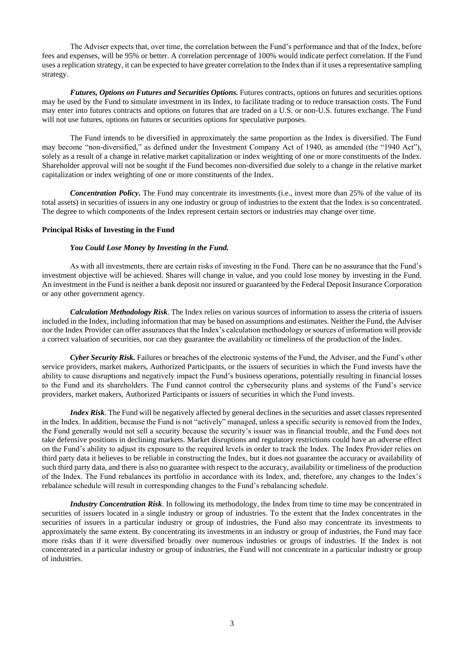The Adviser expects that, over time, the correlation between the Fund's performance and that of the Index, before fees and expenses, will be 95% or better. A correlation percentage of 100% would indicate perfect correlation. If the Fund uses a replication strategy, it can be expected to have greater correlation to the Index than if it uses a representative sampling strategy.

*Futures, Options on Futures and Securities Options.* Futures contracts, options on futures and securities options may be used by the Fund to simulate investment in its Index, to facilitate trading or to reduce transaction costs. The Fund may enter into futures contracts and options on futures that are traded on a U.S. or non-U.S. futures exchange. The Fund will not use futures, options on futures or securities options for speculative purposes.

The Fund intends to be diversified in approximately the same proportion as the Index is diversified. The Fund may become "non-diversified," as defined under the Investment Company Act of 1940, as amended (the "1940 Act"), solely as a result of a change in relative market capitalization or index weighting of one or more constituents of the Index. Shareholder approval will not be sought if the Fund becomes non-diversified due solely to a change in the relative market capitalization or index weighting of one or more constituents of the Index.

*Concentration Policy***.** The Fund may concentrate its investments (i.e., invest more than 25% of the value of its total assets) in securities of issuers in any one industry or group of industries to the extent that the Index is so concentrated. The degree to which components of the Index represent certain sectors or industries may change over time.

## **Principal Risks of Investing in the Fund**

## *You Could Lose Money by Investing in the Fund.*

As with all investments, there are certain risks of investing in the Fund. There can be no assurance that the Fund's investment objective will be achieved. Shares will change in value, and you could lose money by investing in the Fund. An investment in the Fund is neither a bank deposit nor insured or guaranteed by the Federal Deposit Insurance Corporation or any other government agency.

*Calculation Methodology Risk*. The Index relies on various sources of information to assess the criteria of issuers included in the Index, including information that may be based on assumptions and estimates. Neither the Fund, the Adviser nor the Index Provider can offer assurances that the Index's calculation methodology or sources of information will provide a correct valuation of securities, nor can they guarantee the availability or timeliness of the production of the Index.

*Cyber Security Risk.* Failures or breaches of the electronic systems of the Fund, the Adviser, and the Fund's other service providers, market makers, Authorized Participants, or the issuers of securities in which the Fund invests have the ability to cause disruptions and negatively impact the Fund's business operations, potentially resulting in financial losses to the Fund and its shareholders. The Fund cannot control the cybersecurity plans and systems of the Fund's service providers, market makers, Authorized Participants or issuers of securities in which the Fund invests.

*Index Risk*. The Fund will be negatively affected by general declines in the securities and asset classes represented in the Index. In addition, because the Fund is not "actively" managed, unless a specific security is removed from the Index, the Fund generally would not sell a security because the security's issuer was in financial trouble, and the Fund does not take defensive positions in declining markets. Market disruptions and regulatory restrictions could have an adverse effect on the Fund's ability to adjust its exposure to the required levels in order to track the Index. The Index Provider relies on third party data it believes to be reliable in constructing the Index, but it does not guarantee the accuracy or availability of such third party data, and there is also no guarantee with respect to the accuracy, availability or timeliness of the production of the Index. The Fund rebalances its portfolio in accordance with its Index, and, therefore, any changes to the Index's rebalance schedule will result in corresponding changes to the Fund's rebalancing schedule.

*Industry Concentration Risk*. In following its methodology, the Index from time to time may be concentrated in securities of issuers located in a single industry or group of industries. To the extent that the Index concentrates in the securities of issuers in a particular industry or group of industries, the Fund also may concentrate its investments to approximately the same extent. By concentrating its investments in an industry or group of industries, the Fund may face more risks than if it were diversified broadly over numerous industries or groups of industries. If the Index is not concentrated in a particular industry or group of industries, the Fund will not concentrate in a particular industry or group of industries.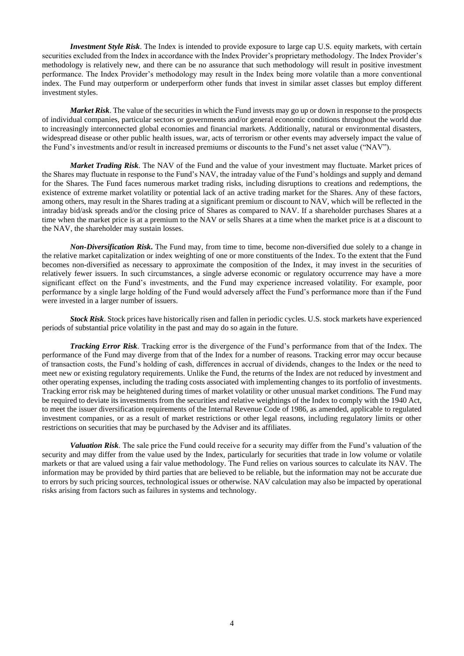*Investment Style Risk*. The Index is intended to provide exposure to large cap U.S. equity markets, with certain securities excluded from the Index in accordance with the Index Provider's proprietary methodology. The Index Provider's methodology is relatively new, and there can be no assurance that such methodology will result in positive investment performance. The Index Provider's methodology may result in the Index being more volatile than a more conventional index. The Fund may outperform or underperform other funds that invest in similar asset classes but employ different investment styles.

*Market Risk*. The value of the securities in which the Fund invests may go up or down in response to the prospects of individual companies, particular sectors or governments and/or general economic conditions throughout the world due to increasingly interconnected global economies and financial markets. Additionally, natural or environmental disasters, widespread disease or other public health issues, war, acts of terrorism or other events may adversely impact the value of the Fund's investments and/or result in increased premiums or discounts to the Fund's net asset value ("NAV").

*Market Trading Risk*. The NAV of the Fund and the value of your investment may fluctuate. Market prices of the Shares may fluctuate in response to the Fund's NAV, the intraday value of the Fund's holdings and supply and demand for the Shares. The Fund faces numerous market trading risks, including disruptions to creations and redemptions, the existence of extreme market volatility or potential lack of an active trading market for the Shares. Any of these factors, among others, may result in the Shares trading at a significant premium or discount to NAV, which will be reflected in the intraday bid/ask spreads and/or the closing price of Shares as compared to NAV. If a shareholder purchases Shares at a time when the market price is at a premium to the NAV or sells Shares at a time when the market price is at a discount to the NAV, the shareholder may sustain losses.

*Non-Diversification Risk***.** The Fund may, from time to time, become non-diversified due solely to a change in the relative market capitalization or index weighting of one or more constituents of the Index. To the extent that the Fund becomes non-diversified as necessary to approximate the composition of the Index, it may invest in the securities of relatively fewer issuers. In such circumstances, a single adverse economic or regulatory occurrence may have a more significant effect on the Fund's investments, and the Fund may experience increased volatility. For example, poor performance by a single large holding of the Fund would adversely affect the Fund's performance more than if the Fund were invested in a larger number of issuers.

*Stock Risk*. Stock prices have historically risen and fallen in periodic cycles. U.S. stock markets have experienced periods of substantial price volatility in the past and may do so again in the future.

*Tracking Error Risk*. Tracking error is the divergence of the Fund's performance from that of the Index. The performance of the Fund may diverge from that of the Index for a number of reasons. Tracking error may occur because of transaction costs, the Fund's holding of cash, differences in accrual of dividends, changes to the Index or the need to meet new or existing regulatory requirements. Unlike the Fund, the returns of the Index are not reduced by investment and other operating expenses, including the trading costs associated with implementing changes to its portfolio of investments. Tracking error risk may be heightened during times of market volatility or other unusual market conditions. The Fund may be required to deviate its investments from the securities and relative weightings of the Index to comply with the 1940 Act, to meet the issuer diversification requirements of the Internal Revenue Code of 1986, as amended, applicable to regulated investment companies, or as a result of market restrictions or other legal reasons, including regulatory limits or other restrictions on securities that may be purchased by the Adviser and its affiliates.

*Valuation Risk*. The sale price the Fund could receive for a security may differ from the Fund's valuation of the security and may differ from the value used by the Index, particularly for securities that trade in low volume or volatile markets or that are valued using a fair value methodology. The Fund relies on various sources to calculate its NAV. The information may be provided by third parties that are believed to be reliable, but the information may not be accurate due to errors by such pricing sources, technological issues or otherwise. NAV calculation may also be impacted by operational risks arising from factors such as failures in systems and technology.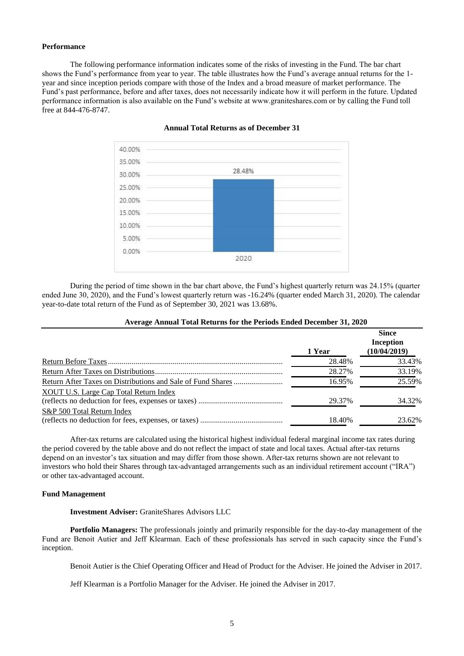## **Performance**

The following performance information indicates some of the risks of investing in the Fund. The bar chart shows the Fund's performance from year to year. The table illustrates how the Fund's average annual returns for the 1 year and since inception periods compare with those of the Index and a broad measure of market performance. The Fund's past performance, before and after taxes, does not necessarily indicate how it will perform in the future. Updated performance information is also available on the Fund's website at www.graniteshares.com or by calling the Fund toll free at 844-476-8747.



#### **Annual Total Returns as of December 31**

During the period of time shown in the bar chart above, the Fund's highest quarterly return was 24.15% (quarter ended June 30, 2020), and the Fund's lowest quarterly return was -16.24% (quarter ended March 31, 2020). The calendar year-to-date total return of the Fund as of September 30, 2021 was 13.68%.

|                                               | 1 Year | since<br><b>Inception</b><br>(10/04/2019) |
|-----------------------------------------------|--------|-------------------------------------------|
|                                               | 28.48% | 33.43%                                    |
|                                               | 28.27% | 33.19%                                    |
|                                               | 16.95% | 25.59%                                    |
| <b>XOUT U.S. Large Cap Total Return Index</b> |        |                                           |
|                                               | 29.37% | 34.32%                                    |
| S&P 500 Total Return Index                    |        |                                           |
|                                               | 18.40% | 23.62%                                    |

#### **Average Annual Total Returns for the Periods Ended December 31, 2020**

 $\overline{\mathbf{S}}$ 

After-tax returns are calculated using the historical highest individual federal marginal income tax rates during the period covered by the table above and do not reflect the impact of state and local taxes. Actual after-tax returns depend on an investor's tax situation and may differ from those shown. After-tax returns shown are not relevant to investors who hold their Shares through tax-advantaged arrangements such as an individual retirement account ("IRA") or other tax-advantaged account.

#### **Fund Management**

## **Investment Adviser:** GraniteShares Advisors LLC

**Portfolio Managers:** The professionals jointly and primarily responsible for the day-to-day management of the Fund are Benoit Autier and Jeff Klearman. Each of these professionals has served in such capacity since the Fund's inception.

Benoit Autier is the Chief Operating Officer and Head of Product for the Adviser. He joined the Adviser in 2017.

Jeff Klearman is a Portfolio Manager for the Adviser. He joined the Adviser in 2017.